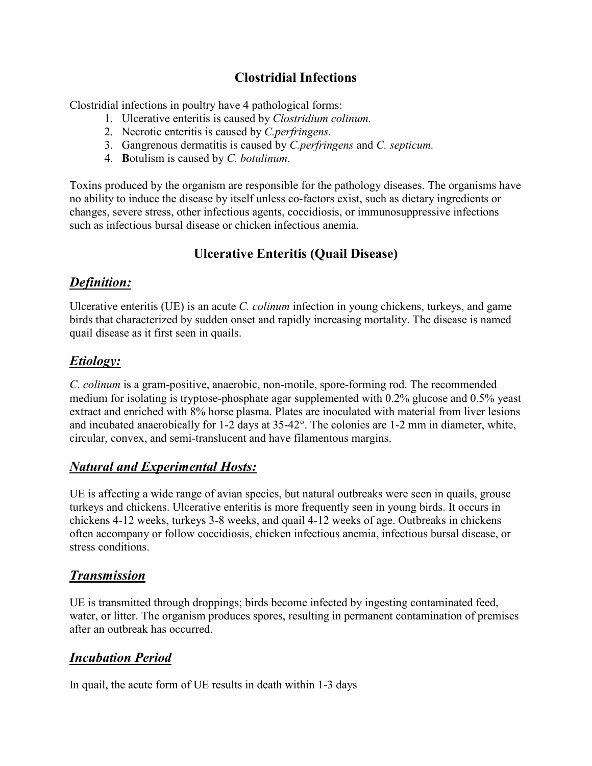## **Clostridial Infections**

Clostridial infections in poultry have 4 pathological forms:

- 1. Ulcerative enteritis is caused by *Clostridium colinum.*
- 2. Necrotic enteritis is caused by *C.perfringens.*
- 3. Gangrenous dermatitis is caused by *C.perfringens* and *C. septicum.*
- 4. **B**otulism is caused by *C. botulinum*.

Toxins produced by the organism are responsible for the pathology diseases. The organisms have no ability to induce the disease by itself unless co-factors exist, such as dietary ingredients or changes, severe stress, other infectious agents, coccidiosis, or immunosuppressive infections such as infectious bursal disease or chicken infectious anemia.

# **Ulcerative Enteritis (Quail Disease)**

## *Definition:*

Ulcerative enteritis (UE) is an acute *C. colinum* infection in young chickens, turkeys, and game birds that characterized by sudden onset and rapidly increasing mortality. The disease is named quail disease as it first seen in quails.

## *Etiology:*

*C. colinum* is a gram-positive, anaerobic, non-motile, spore-forming rod. The recommended medium for isolating is tryptose-phosphate agar supplemented with 0.2% glucose and 0.5% yeast extract and enriched with 8% horse plasma. Plates are inoculated with material from liver lesions and incubated anaerobically for 1-2 days at 35-42°. The colonies are 1-2 mm in diameter, white, circular, convex, and semi-translucent and have filamentous margins.

## *Natural and Experimental Hosts:*

UE is affecting a wide range of avian species, but natural outbreaks were seen in quails, grouse turkeys and chickens. Ulcerative enteritis is more frequently seen in young birds. It occurs in chickens 4-12 weeks, turkeys 3-8 weeks, and quail 4-12 weeks of age. Outbreaks in chickens often accompany or follow coccidiosis, chicken infectious anemia, infectious bursal disease, or stress conditions.

#### *Transmission*

UE is transmitted through droppings; birds become infected by ingesting contaminated feed, water, or litter. The organism produces spores, resulting in permanent contamination of premises after an outbreak has occurred.

## *Incubation Period*

In quail, the acute form of UE results in death within 1-3 days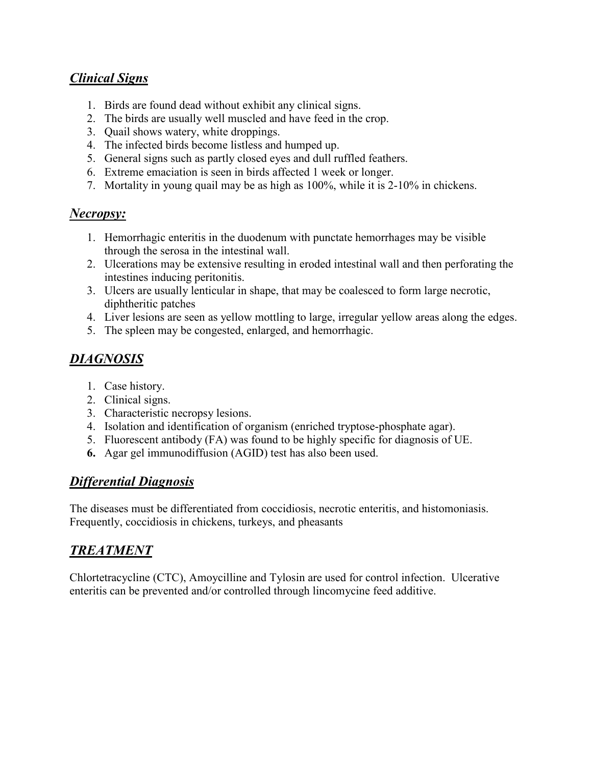### *Clinical Signs*

- 1. Birds are found dead without exhibit any clinical signs.
- 2. The birds are usually well muscled and have feed in the crop.
- 3. Quail shows watery, white droppings.
- 4. The infected birds become listless and humped up.
- 5. General signs such as partly closed eyes and dull ruffled feathers.
- 6. Extreme emaciation is seen in birds affected 1 week or longer.
- 7. Mortality in young quail may be as high as 100%, while it is 2-10% in chickens.

#### *Necropsy:*

- 1. Hemorrhagic enteritis in the duodenum with punctate hemorrhages may be visible through the serosa in the intestinal wall.
- 2. Ulcerations may be extensive resulting in eroded intestinal wall and then perforating the intestines inducing peritonitis.
- 3. Ulcers are usually lenticular in shape, that may be coalesced to form large necrotic, diphtheritic patches
- 4. Liver lesions are seen as yellow mottling to large, irregular yellow areas along the edges.
- 5. The spleen may be congested, enlarged, and hemorrhagic.

# *DIAGNOSIS*

- 1. Case history.
- 2. Clinical signs.
- 3. Characteristic necropsy lesions.
- 4. Isolation and identification of organism (enriched tryptose-phosphate agar).
- 5. Fluorescent antibody (FA) was found to be highly specific for diagnosis of UE.
- **6.** Agar gel immunodiffusion (AGID) test has also been used.

#### *Differential Diagnosis*

The diseases must be differentiated from coccidiosis, necrotic enteritis, and histomoniasis. Frequently, coccidiosis in chickens, turkeys, and pheasants

## *TREATMENT*

Chlortetracycline (CTC), Amoycilline and Tylosin are used for control infection. Ulcerative enteritis can be prevented and/or controlled through lincomycine feed additive.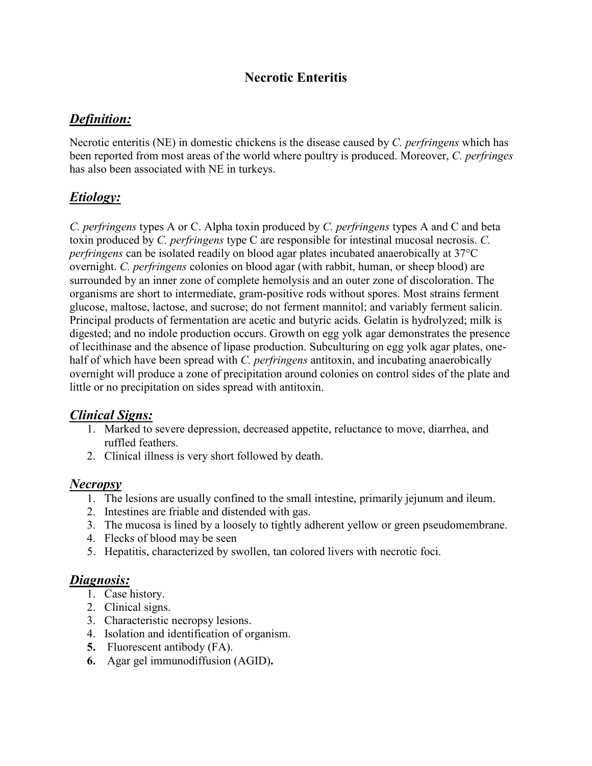## **Necrotic Enteritis**

### *Definition:*

Necrotic enteritis (NE) in domestic chickens is the disease caused by *C. perfringens* which has been reported from most areas of the world where poultry is produced. Moreover, *C. perfringes*  has also been associated with NE in turkeys.

## *Etiology:*

*C. perfringens* types A or C. Alpha toxin produced by *C. perfringens* types A and C and beta toxin produced by *C. perfringens* type C are responsible for intestinal mucosal necrosis. *C. perfringens* can be isolated readily on blood agar plates incubated anaerobically at 37°C overnight. *C. perfringens* colonies on blood agar (with rabbit, human, or sheep blood) are surrounded by an inner zone of complete hemolysis and an outer zone of discoloration. The organisms are short to intermediate, gram-positive rods without spores. Most strains ferment glucose, maltose, lactose, and sucrose; do not ferment mannitol; and variably ferment salicin. Principal products of fermentation are acetic and butyric acids. Gelatin is hydrolyzed; milk is digested; and no indole production occurs. Growth on egg yolk agar demonstrates the presence of lecithinase and the absence of lipase production. Subculturing on egg yolk agar plates, onehalf of which have been spread with *C. perfringens* antitoxin, and incubating anaerobically overnight will produce a zone of precipitation around colonies on control sides of the plate and little or no precipitation on sides spread with antitoxin.

#### *Clinical Signs:*

- 1. Marked to severe depression, decreased appetite, reluctance to move, diarrhea, and ruffled feathers.
- 2. Clinical illness is very short followed by death.

#### *Necropsy*

- 1. The lesions are usually confined to the small intestine, primarily jejunum and ileum.
- 2. Intestines are friable and distended with gas.
- 3. The mucosa is lined by a loosely to tightly adherent yellow or green pseudomembrane.
- 4. Flecks of blood may be seen
- 5. Hepatitis, characterized by swollen, tan colored livers with necrotic foci.

#### *Diagnosis:*

- 1. Case history.
- 2. Clinical signs.
- 3. Characteristic necropsy lesions.
- 4. Isolation and identification of organism.
- **5.** Fluorescent antibody (FA).
- **6.** Agar gel immunodiffusion (AGID)**.**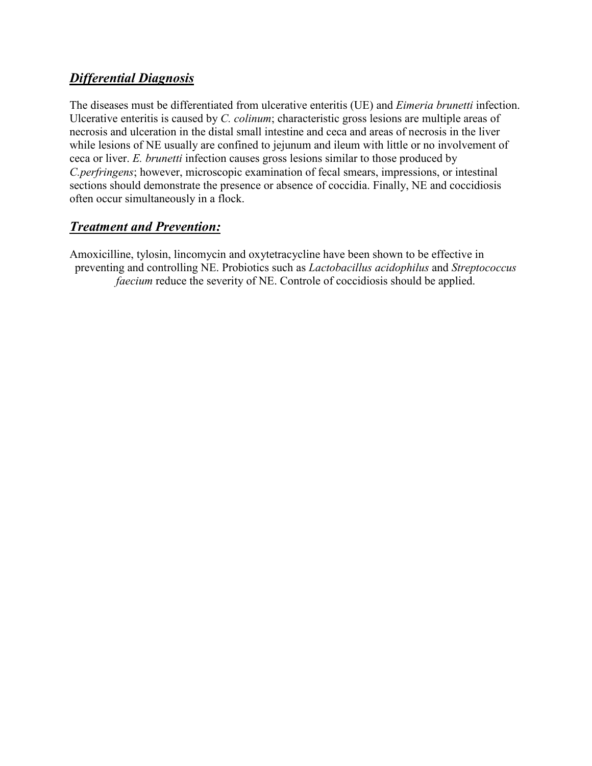## *Differential Diagnosis*

The diseases must be differentiated from ulcerative enteritis (UE) and *Eimeria brunetti* infection. Ulcerative enteritis is caused by *C. colinum*; characteristic gross lesions are multiple areas of necrosis and ulceration in the distal small intestine and ceca and areas of necrosis in the liver while lesions of NE usually are confined to jejunum and ileum with little or no involvement of ceca or liver. *E. brunetti* infection causes gross lesions similar to those produced by *C.perfringens*; however, microscopic examination of fecal smears, impressions, or intestinal sections should demonstrate the presence or absence of coccidia. Finally, NE and coccidiosis often occur simultaneously in a flock.

### *Treatment and Prevention:*

Amoxicilline, tylosin, lincomycin and oxytetracycline have been shown to be effective in preventing and controlling NE. Probiotics such as *Lactobacillus acidophilus* and *Streptococcus faecium* reduce the severity of NE. Controle of coccidiosis should be applied.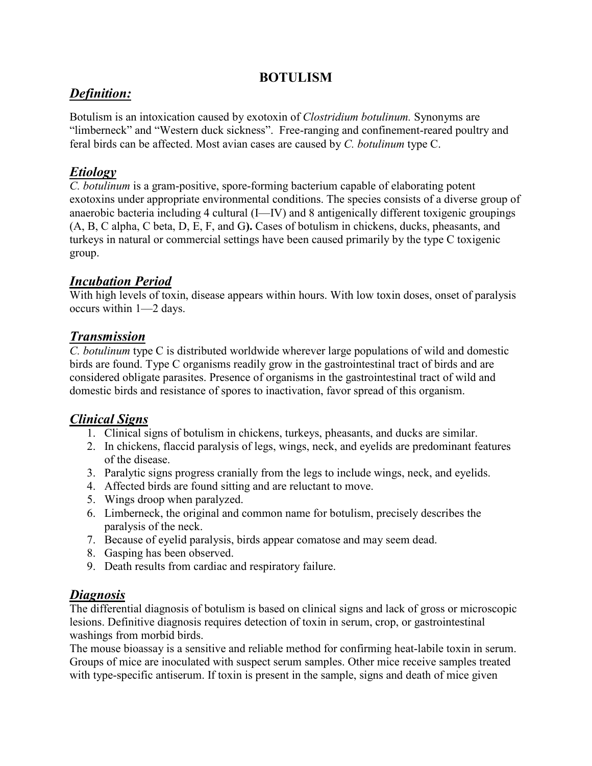#### **BOTULISM**

## *Definition:*

Botulism is an intoxication caused by exotoxin of *Clostridium botulinum.* Synonyms are "limberneck" and "Western duck sickness". Free-ranging and confinement-reared poultry and feral birds can be affected. Most avian cases are caused by *C. botulinum* type C.

# *Etiology*

*C. botulinum* is a gram-positive, spore-forming bacterium capable of elaborating potent exotoxins under appropriate environmental conditions. The species consists of a diverse group of anaerobic bacteria including 4 cultural (I—IV) and 8 antigenically different toxigenic groupings (A, B, C alpha, C beta, D, E, F, and G**).** Cases of botulism in chickens, ducks, pheasants, and turkeys in natural or commercial settings have been caused primarily by the type C toxigenic group.

## *Incubation Period*

With high levels of toxin, disease appears within hours. With low toxin doses, onset of paralysis occurs within 1—2 days.

### *Transmission*

*C. botulinum* type C is distributed worldwide wherever large populations of wild and domestic birds are found. Type C organisms readily grow in the gastrointestinal tract of birds and are considered obligate parasites. Presence of organisms in the gastrointestinal tract of wild and domestic birds and resistance of spores to inactivation, favor spread of this organism.

## *Clinical Signs*

- 1. Clinical signs of botulism in chickens, turkeys, pheasants, and ducks are similar.
- 2. In chickens, flaccid paralysis of legs, wings, neck, and eyelids are predominant features of the disease.
- 3. Paralytic signs progress cranially from the legs to include wings, neck, and eyelids.
- 4. Affected birds are found sitting and are reluctant to move.
- 5. Wings droop when paralyzed.
- 6. Limberneck, the original and common name for botulism, precisely describes the paralysis of the neck.
- 7. Because of eyelid paralysis, birds appear comatose and may seem dead.
- 8. Gasping has been observed.
- 9. Death results from cardiac and respiratory failure.

#### *Diagnosis*

The differential diagnosis of botulism is based on clinical signs and lack of gross or microscopic lesions. Definitive diagnosis requires detection of toxin in serum, crop, or gastrointestinal washings from morbid birds.

The mouse bioassay is a sensitive and reliable method for confirming heat-labile toxin in serum. Groups of mice are inoculated with suspect serum samples. Other mice receive samples treated with type-specific antiserum. If toxin is present in the sample, signs and death of mice given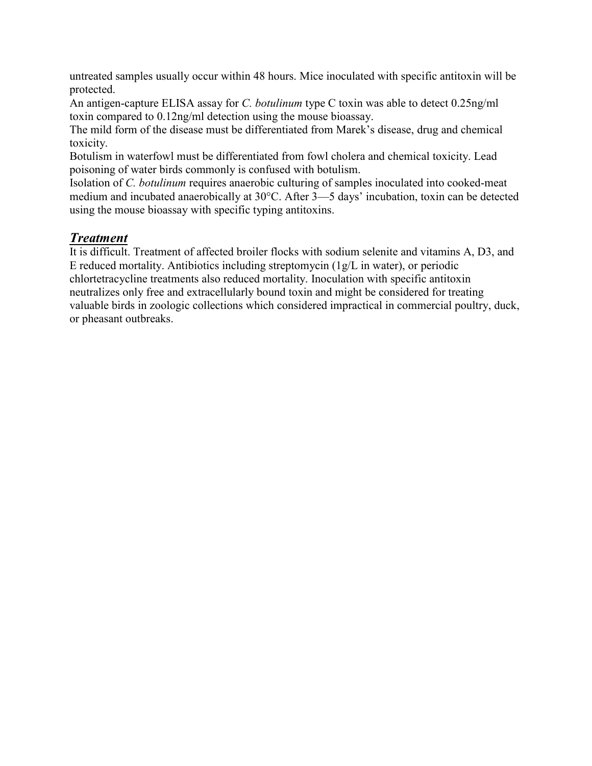untreated samples usually occur within 48 hours. Mice inoculated with specific antitoxin will be protected.

An antigen-capture ELISA assay for *C. botulinum* type C toxin was able to detect 0.25ng/ml toxin compared to 0.12ng/ml detection using the mouse bioassay.

The mild form of the disease must be differentiated from Marek's disease, drug and chemical toxicity.

Botulism in waterfowl must be differentiated from fowl cholera and chemical toxicity. Lead poisoning of water birds commonly is confused with botulism.

Isolation of *C. botulinum* requires anaerobic culturing of samples inoculated into cooked-meat medium and incubated anaerobically at 30°C. After 3—5 days' incubation, toxin can be detected using the mouse bioassay with specific typing antitoxins.

#### *Treatment*

It is difficult. Treatment of affected broiler flocks with sodium selenite and vitamins A, D3, and E reduced mortality. Antibiotics including streptomycin (1g/L in water), or periodic chlortetracycline treatments also reduced mortality. Inoculation with specific antitoxin neutralizes only free and extracellularly bound toxin and might be considered for treating valuable birds in zoologic collections which considered impractical in commercial poultry, duck, or pheasant outbreaks.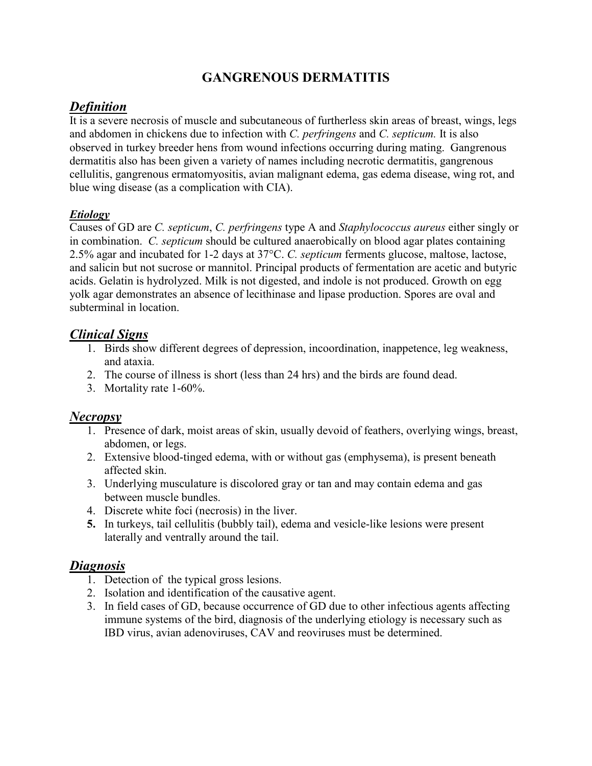# **GANGRENOUS DERMATITIS**

## *Definition*

It is a severe necrosis of muscle and subcutaneous of furtherless skin areas of breast, wings, legs and abdomen in chickens due to infection with *C. perfringens* and *C. septicum.* It is also observed in turkey breeder hens from wound infections occurring during mating. Gangrenous dermatitis also has been given a variety of names including necrotic dermatitis, gangrenous cellulitis, gangrenous ermatomyositis, avian malignant edema, gas edema disease, wing rot, and blue wing disease (as a complication with CIA).

#### *Etiology*

Causes of GD are *C. septicum*, *C. perfringens* type A and *Staphylococcus aureus* either singly or in combination. *C. septicum* should be cultured anaerobically on blood agar plates containing 2.5% agar and incubated for 1-2 days at 37°C. *C. septicum* ferments glucose, maltose, lactose, and salicin but not sucrose or mannitol. Principal products of fermentation are acetic and butyric acids. Gelatin is hydrolyzed. Milk is not digested, and indole is not produced. Growth on egg yolk agar demonstrates an absence of lecithinase and lipase production. Spores are oval and subterminal in location.

### *Clinical Signs*

- 1. Birds show different degrees of depression, incoordination, inappetence, leg weakness, and ataxia.
- 2. The course of illness is short (less than 24 hrs) and the birds are found dead.
- 3. Mortality rate 1-60%.

#### *Necropsy*

- 1. Presence of dark, moist areas of skin, usually devoid of feathers, overlying wings, breast, abdomen, or legs.
- 2. Extensive blood-tinged edema, with or without gas (emphysema), is present beneath affected skin.
- 3. Underlying musculature is discolored gray or tan and may contain edema and gas between muscle bundles.
- 4. Discrete white foci (necrosis) in the liver.
- **5.** In turkeys, tail cellulitis (bubbly tail), edema and vesicle-like lesions were present laterally and ventrally around the tail.

#### *Diagnosis*

- 1. Detection of the typical gross lesions.
- 2. Isolation and identification of the causative agent.
- 3. In field cases of GD, because occurrence of GD due to other infectious agents affecting immune systems of the bird, diagnosis of the underlying etiology is necessary such as IBD virus, avian adenoviruses, CAV and reoviruses must be determined.